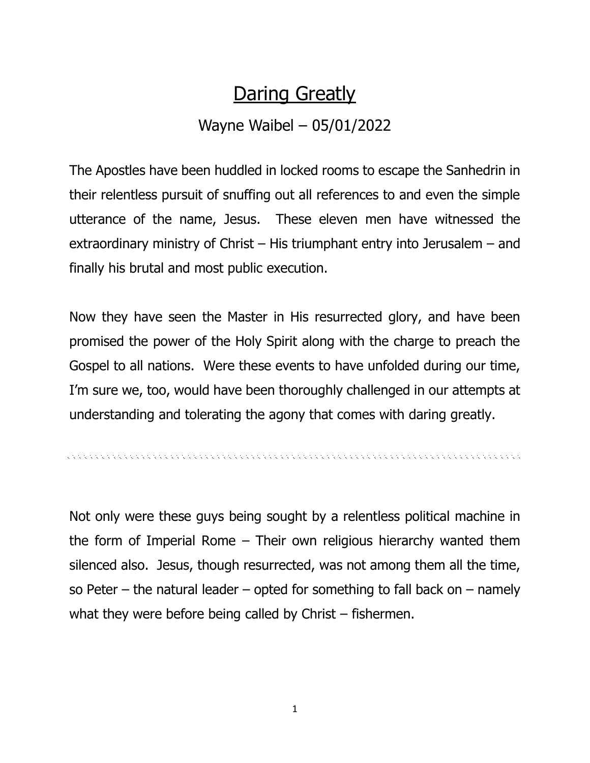## **Daring Greatly**

## Wayne Waibel – 05/01/2022

The Apostles have been huddled in locked rooms to escape the Sanhedrin in their relentless pursuit of snuffing out all references to and even the simple utterance of the name, Jesus. These eleven men have witnessed the extraordinary ministry of Christ – His triumphant entry into Jerusalem – and finally his brutal and most public execution.

Now they have seen the Master in His resurrected glory, and have been promised the power of the Holy Spirit along with the charge to preach the Gospel to all nations. Were these events to have unfolded during our time, I'm sure we, too, would have been thoroughly challenged in our attempts at understanding and tolerating the agony that comes with daring greatly.

Not only were these guys being sought by a relentless political machine in the form of Imperial Rome – Their own religious hierarchy wanted them silenced also. Jesus, though resurrected, was not among them all the time, so Peter – the natural leader – opted for something to fall back on – namely what they were before being called by Christ – fishermen.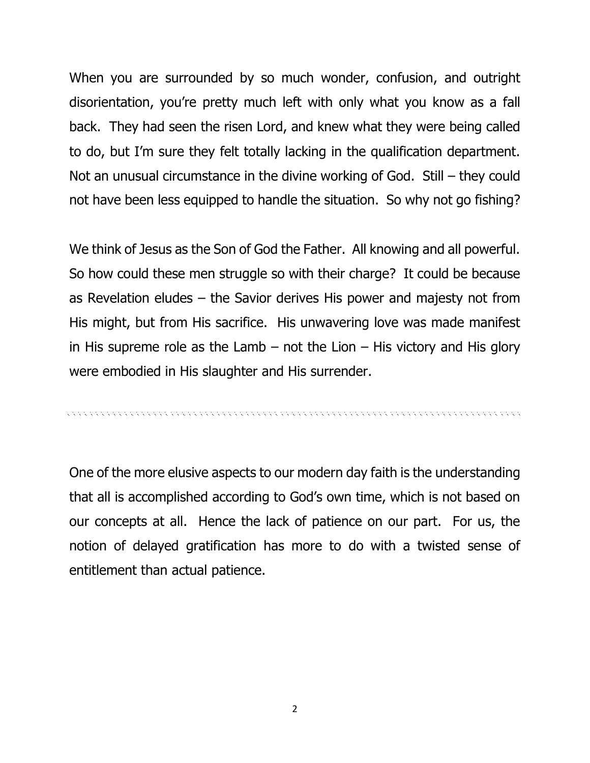When you are surrounded by so much wonder, confusion, and outright disorientation, you're pretty much left with only what you know as a fall back. They had seen the risen Lord, and knew what they were being called to do, but I'm sure they felt totally lacking in the qualification department. Not an unusual circumstance in the divine working of God. Still – they could not have been less equipped to handle the situation. So why not go fishing?

We think of Jesus as the Son of God the Father. All knowing and all powerful. So how could these men struggle so with their charge? It could be because as Revelation eludes – the Savior derives His power and majesty not from His might, but from His sacrifice. His unwavering love was made manifest in His supreme role as the Lamb  $-$  not the Lion  $-$  His victory and His glory were embodied in His slaughter and His surrender.

One of the more elusive aspects to our modern day faith is the understanding that all is accomplished according to God's own time, which is not based on our concepts at all. Hence the lack of patience on our part. For us, the notion of delayed gratification has more to do with a twisted sense of entitlement than actual patience.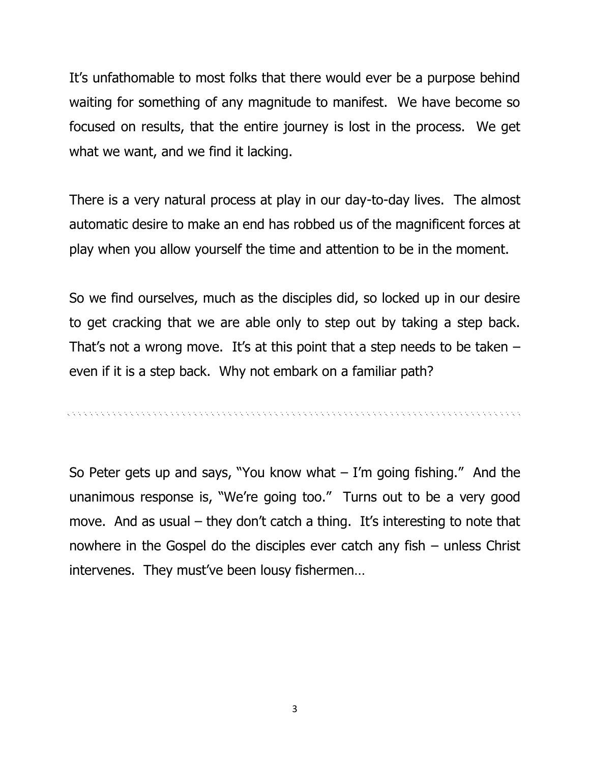It's unfathomable to most folks that there would ever be a purpose behind waiting for something of any magnitude to manifest. We have become so focused on results, that the entire journey is lost in the process. We get what we want, and we find it lacking.

There is a very natural process at play in our day-to-day lives. The almost automatic desire to make an end has robbed us of the magnificent forces at play when you allow yourself the time and attention to be in the moment.

So we find ourselves, much as the disciples did, so locked up in our desire to get cracking that we are able only to step out by taking a step back. That's not a wrong move. It's at this point that a step needs to be taken  $$ even if it is a step back. Why not embark on a familiar path?

. A construction of the construction of the construction of the construction of the construction of the construction

So Peter gets up and says, "You know what  $-$  I'm going fishing." And the unanimous response is, "We're going too." Turns out to be a very good move. And as usual – they don't catch a thing. It's interesting to note that nowhere in the Gospel do the disciples ever catch any fish – unless Christ intervenes. They must've been lousy fishermen…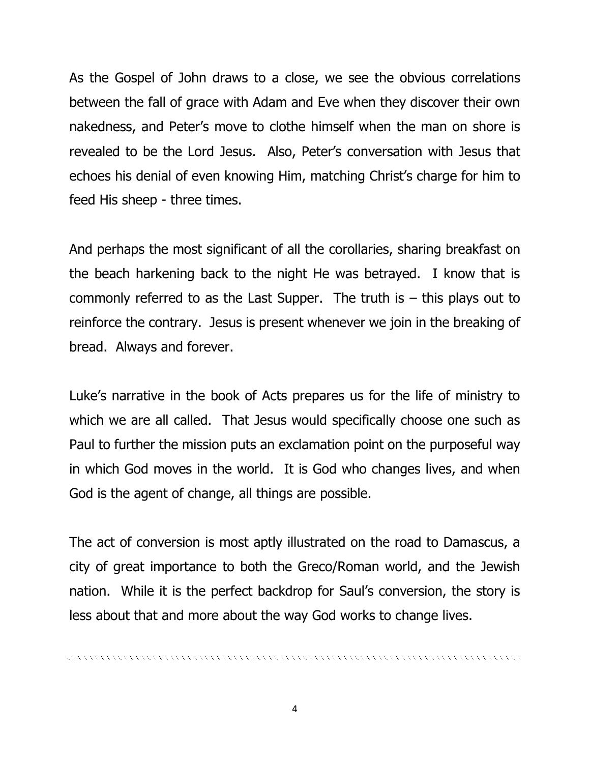As the Gospel of John draws to a close, we see the obvious correlations between the fall of grace with Adam and Eve when they discover their own nakedness, and Peter's move to clothe himself when the man on shore is revealed to be the Lord Jesus. Also, Peter's conversation with Jesus that echoes his denial of even knowing Him, matching Christ's charge for him to feed His sheep - three times.

And perhaps the most significant of all the corollaries, sharing breakfast on the beach harkening back to the night He was betrayed. I know that is commonly referred to as the Last Supper. The truth is  $-$  this plays out to reinforce the contrary. Jesus is present whenever we join in the breaking of bread. Always and forever.

Luke's narrative in the book of Acts prepares us for the life of ministry to which we are all called. That Jesus would specifically choose one such as Paul to further the mission puts an exclamation point on the purposeful way in which God moves in the world. It is God who changes lives, and when God is the agent of change, all things are possible.

The act of conversion is most aptly illustrated on the road to Damascus, a city of great importance to both the Greco/Roman world, and the Jewish nation. While it is the perfect backdrop for Saul's conversion, the story is less about that and more about the way God works to change lives.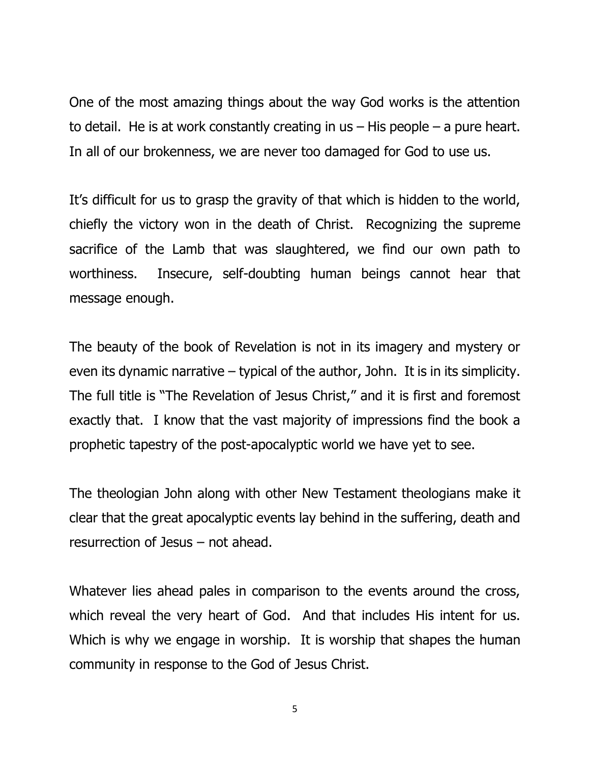One of the most amazing things about the way God works is the attention to detail. He is at work constantly creating in us – His people – a pure heart. In all of our brokenness, we are never too damaged for God to use us.

It's difficult for us to grasp the gravity of that which is hidden to the world, chiefly the victory won in the death of Christ. Recognizing the supreme sacrifice of the Lamb that was slaughtered, we find our own path to worthiness. Insecure, self-doubting human beings cannot hear that message enough.

The beauty of the book of Revelation is not in its imagery and mystery or even its dynamic narrative – typical of the author, John. It is in its simplicity. The full title is "The Revelation of Jesus Christ," and it is first and foremost exactly that. I know that the vast majority of impressions find the book a prophetic tapestry of the post-apocalyptic world we have yet to see.

The theologian John along with other New Testament theologians make it clear that the great apocalyptic events lay behind in the suffering, death and resurrection of Jesus – not ahead.

Whatever lies ahead pales in comparison to the events around the cross, which reveal the very heart of God. And that includes His intent for us. Which is why we engage in worship. It is worship that shapes the human community in response to the God of Jesus Christ.

5